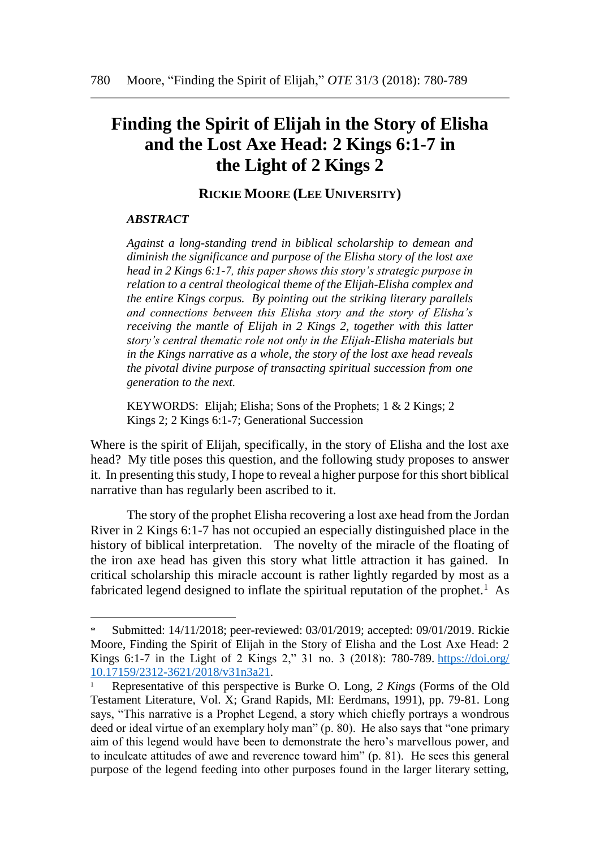## **Finding the Spirit of Elijah in the Story of Elisha and the Lost Axe Head: 2 Kings 6:1-7 in the Light of 2 Kings 2**

**RICKIE MOORE (LEE UNIVERSITY)**

## *ABSTRACT*

l

*Against a long-standing trend in biblical scholarship to demean and diminish the significance and purpose of the Elisha story of the lost axe head in 2 Kings 6:1-7, this paper shows this story's strategic purpose in relation to a central theological theme of the Elijah-Elisha complex and the entire Kings corpus. By pointing out the striking literary parallels and connections between this Elisha story and the story of Elisha's receiving the mantle of Elijah in 2 Kings 2, together with this latter story's central thematic role not only in the Elijah-Elisha materials but in the Kings narrative as a whole, the story of the lost axe head reveals the pivotal divine purpose of transacting spiritual succession from one generation to the next.*

KEYWORDS: Elijah; Elisha; Sons of the Prophets; 1 & 2 Kings; 2 Kings 2; 2 Kings 6:1-7; Generational Succession

Where is the spirit of Elijah, specifically, in the story of Elisha and the lost axe head? My title poses this question, and the following study proposes to answer it. In presenting this study, I hope to reveal a higher purpose for this short biblical narrative than has regularly been ascribed to it.

The story of the prophet Elisha recovering a lost axe head from the Jordan River in 2 Kings 6:1-7 has not occupied an especially distinguished place in the history of biblical interpretation. The novelty of the miracle of the floating of the iron axe head has given this story what little attraction it has gained. In critical scholarship this miracle account is rather lightly regarded by most as a fabricated legend designed to inflate the spiritual reputation of the prophet.<sup>1</sup> As

Submitted: 14/11/2018; peer-reviewed: 03/01/2019; accepted: 09/01/2019. Rickie Moore, Finding the Spirit of Elijah in the Story of Elisha and the Lost Axe Head: 2 Kings 6:1-7 in the Light of 2 Kings 2," 31 no. 3 (2018): 780-789. [https://doi.org/](https://doi.org/%2010.17159/2312-3621/2018/v31n3a21)  [10.17159/2312-3621/2018/v31n3a21.](https://doi.org/%2010.17159/2312-3621/2018/v31n3a21)

<sup>1</sup> Representative of this perspective is Burke O. Long, *2 Kings* (Forms of the Old Testament Literature, Vol. X; Grand Rapids, MI: Eerdmans, 1991), pp. 79-81. Long says, "This narrative is a Prophet Legend, a story which chiefly portrays a wondrous deed or ideal virtue of an exemplary holy man" (p. 80). He also says that "one primary aim of this legend would have been to demonstrate the hero's marvellous power, and to inculcate attitudes of awe and reverence toward him" (p. 81). He sees this general purpose of the legend feeding into other purposes found in the larger literary setting,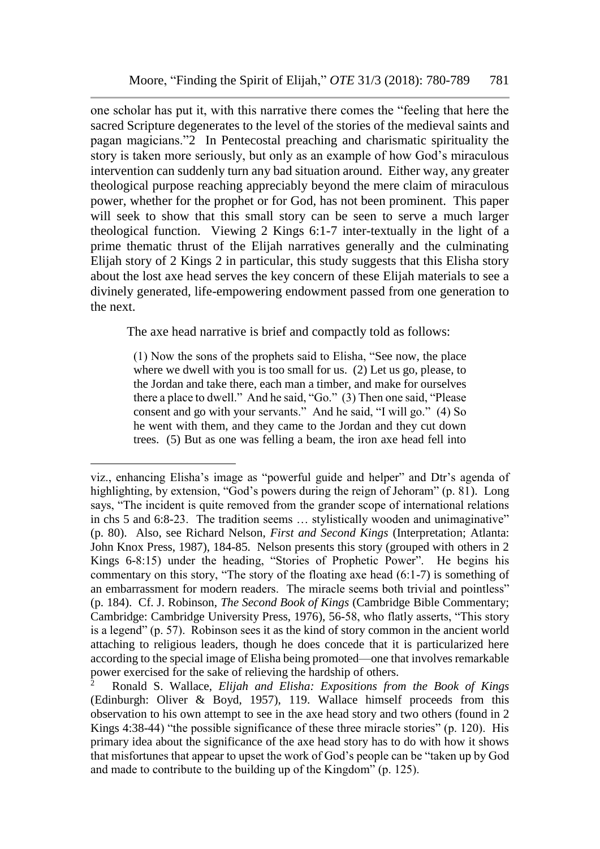one scholar has put it, with this narrative there comes the "feeling that here the sacred Scripture degenerates to the level of the stories of the medieval saints and pagan magicians."2 In Pentecostal preaching and charismatic spirituality the story is taken more seriously, but only as an example of how God's miraculous intervention can suddenly turn any bad situation around. Either way, any greater theological purpose reaching appreciably beyond the mere claim of miraculous power, whether for the prophet or for God, has not been prominent. This paper will seek to show that this small story can be seen to serve a much larger theological function. Viewing 2 Kings 6:1-7 inter-textually in the light of a prime thematic thrust of the Elijah narratives generally and the culminating Elijah story of 2 Kings 2 in particular, this study suggests that this Elisha story about the lost axe head serves the key concern of these Elijah materials to see a divinely generated, life-empowering endowment passed from one generation to the next.

The axe head narrative is brief and compactly told as follows:

(1) Now the sons of the prophets said to Elisha, "See now, the place where we dwell with you is too small for us. (2) Let us go, please, to the Jordan and take there, each man a timber, and make for ourselves there a place to dwell." And he said, "Go." (3) Then one said, "Please consent and go with your servants." And he said, "I will go." (4) So he went with them, and they came to the Jordan and they cut down trees. (5) But as one was felling a beam, the iron axe head fell into

l

viz., enhancing Elisha's image as "powerful guide and helper" and Dtr's agenda of highlighting, by extension, "God's powers during the reign of Jehoram" (p. 81). Long says, "The incident is quite removed from the grander scope of international relations in chs 5 and 6:8-23. The tradition seems … stylistically wooden and unimaginative" (p. 80). Also, see Richard Nelson, *First and Second Kings* (Interpretation; Atlanta: John Knox Press, 1987), 184-85. Nelson presents this story (grouped with others in 2 Kings 6-8:15) under the heading, "Stories of Prophetic Power". He begins his commentary on this story, "The story of the floating axe head (6:1-7) is something of an embarrassment for modern readers. The miracle seems both trivial and pointless" (p. 184). Cf. J. Robinson, *The Second Book of Kings* (Cambridge Bible Commentary; Cambridge: Cambridge University Press, 1976), 56-58, who flatly asserts, "This story is a legend" (p. 57). Robinson sees it as the kind of story common in the ancient world attaching to religious leaders, though he does concede that it is particularized here according to the special image of Elisha being promoted—one that involves remarkable power exercised for the sake of relieving the hardship of others.

<sup>2</sup> Ronald S. Wallace, *Elijah and Elisha: Expositions from the Book of Kings* (Edinburgh: Oliver & Boyd, 1957), 119. Wallace himself proceeds from this observation to his own attempt to see in the axe head story and two others (found in 2 Kings 4:38-44) "the possible significance of these three miracle stories" (p. 120). His primary idea about the significance of the axe head story has to do with how it shows that misfortunes that appear to upset the work of God's people can be "taken up by God and made to contribute to the building up of the Kingdom" (p. 125).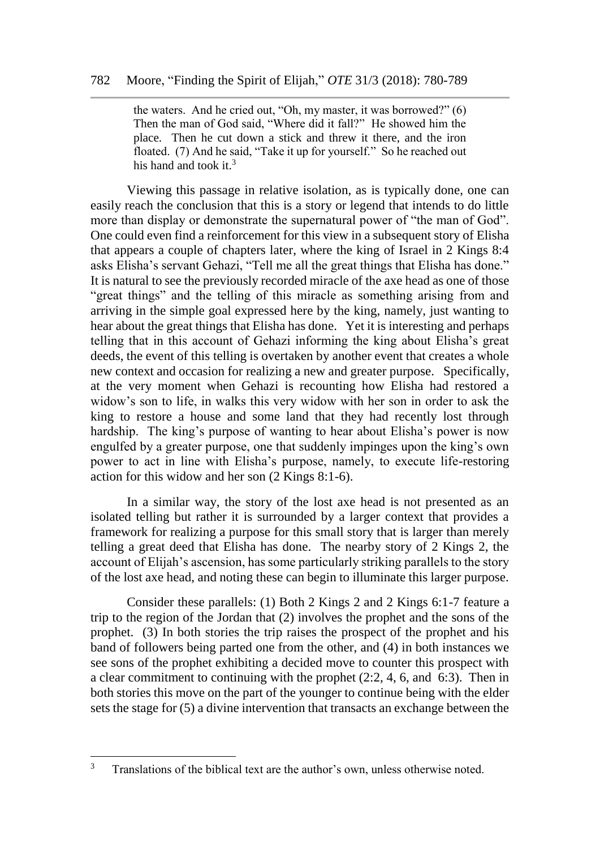the waters. And he cried out, "Oh, my master, it was borrowed?" (6) Then the man of God said, "Where did it fall?" He showed him the place. Then he cut down a stick and threw it there, and the iron floated. (7) And he said, "Take it up for yourself." So he reached out his hand and took it. $3$ 

Viewing this passage in relative isolation, as is typically done, one can easily reach the conclusion that this is a story or legend that intends to do little more than display or demonstrate the supernatural power of "the man of God". One could even find a reinforcement for this view in a subsequent story of Elisha that appears a couple of chapters later, where the king of Israel in 2 Kings 8:4 asks Elisha's servant Gehazi, "Tell me all the great things that Elisha has done." It is natural to see the previously recorded miracle of the axe head as one of those "great things" and the telling of this miracle as something arising from and arriving in the simple goal expressed here by the king, namely, just wanting to hear about the great things that Elisha has done. Yet it is interesting and perhaps telling that in this account of Gehazi informing the king about Elisha's great deeds, the event of this telling is overtaken by another event that creates a whole new context and occasion for realizing a new and greater purpose. Specifically, at the very moment when Gehazi is recounting how Elisha had restored a widow's son to life, in walks this very widow with her son in order to ask the king to restore a house and some land that they had recently lost through hardship. The king's purpose of wanting to hear about Elisha's power is now engulfed by a greater purpose, one that suddenly impinges upon the king's own power to act in line with Elisha's purpose, namely, to execute life-restoring action for this widow and her son (2 Kings 8:1-6).

In a similar way, the story of the lost axe head is not presented as an isolated telling but rather it is surrounded by a larger context that provides a framework for realizing a purpose for this small story that is larger than merely telling a great deed that Elisha has done. The nearby story of 2 Kings 2, the account of Elijah's ascension, has some particularly striking parallels to the story of the lost axe head, and noting these can begin to illuminate this larger purpose.

Consider these parallels: (1) Both 2 Kings 2 and 2 Kings 6:1-7 feature a trip to the region of the Jordan that (2) involves the prophet and the sons of the prophet. (3) In both stories the trip raises the prospect of the prophet and his band of followers being parted one from the other, and (4) in both instances we see sons of the prophet exhibiting a decided move to counter this prospect with a clear commitment to continuing with the prophet (2:2, 4, 6, and 6:3). Then in both stories this move on the part of the younger to continue being with the elder sets the stage for (5) a divine intervention that transacts an exchange between the

 $\overline{3}$ Translations of the biblical text are the author's own, unless otherwise noted.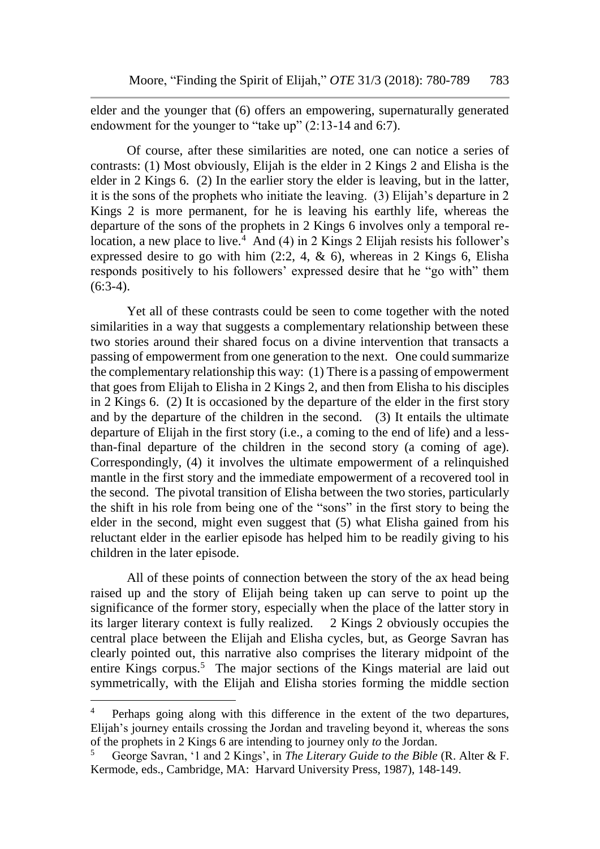elder and the younger that (6) offers an empowering, supernaturally generated endowment for the younger to "take up" (2:13-14 and 6:7).

Of course, after these similarities are noted, one can notice a series of contrasts: (1) Most obviously, Elijah is the elder in 2 Kings 2 and Elisha is the elder in 2 Kings 6. (2) In the earlier story the elder is leaving, but in the latter, it is the sons of the prophets who initiate the leaving. (3) Elijah's departure in 2 Kings 2 is more permanent, for he is leaving his earthly life, whereas the departure of the sons of the prophets in 2 Kings 6 involves only a temporal relocation, a new place to live.<sup>4</sup> And (4) in 2 Kings 2 Elijah resists his follower's expressed desire to go with him  $(2:2, 4, \& 6)$ , whereas in 2 Kings 6, Elisha responds positively to his followers' expressed desire that he "go with" them  $(6:3-4)$ .

Yet all of these contrasts could be seen to come together with the noted similarities in a way that suggests a complementary relationship between these two stories around their shared focus on a divine intervention that transacts a passing of empowerment from one generation to the next. One could summarize the complementary relationship this way: (1) There is a passing of empowerment that goes from Elijah to Elisha in 2 Kings 2, and then from Elisha to his disciples in 2 Kings 6. (2) It is occasioned by the departure of the elder in the first story and by the departure of the children in the second. (3) It entails the ultimate departure of Elijah in the first story (i.e., a coming to the end of life) and a lessthan-final departure of the children in the second story (a coming of age). Correspondingly, (4) it involves the ultimate empowerment of a relinquished mantle in the first story and the immediate empowerment of a recovered tool in the second. The pivotal transition of Elisha between the two stories, particularly the shift in his role from being one of the "sons" in the first story to being the elder in the second, might even suggest that (5) what Elisha gained from his reluctant elder in the earlier episode has helped him to be readily giving to his children in the later episode.

All of these points of connection between the story of the ax head being raised up and the story of Elijah being taken up can serve to point up the significance of the former story, especially when the place of the latter story in its larger literary context is fully realized. 2 Kings 2 obviously occupies the central place between the Elijah and Elisha cycles, but, as George Savran has clearly pointed out, this narrative also comprises the literary midpoint of the entire Kings corpus.<sup>5</sup> The major sections of the Kings material are laid out symmetrically, with the Elijah and Elisha stories forming the middle section

l

<sup>&</sup>lt;sup>4</sup> Perhaps going along with this difference in the extent of the two departures, Elijah's journey entails crossing the Jordan and traveling beyond it, whereas the sons of the prophets in 2 Kings 6 are intending to journey only *to* the Jordan.

<sup>5</sup> George Savran, '1 and 2 Kings', in *The Literary Guide to the Bible* (R. Alter & F. Kermode, eds., Cambridge, MA: Harvard University Press, 1987), 148-149.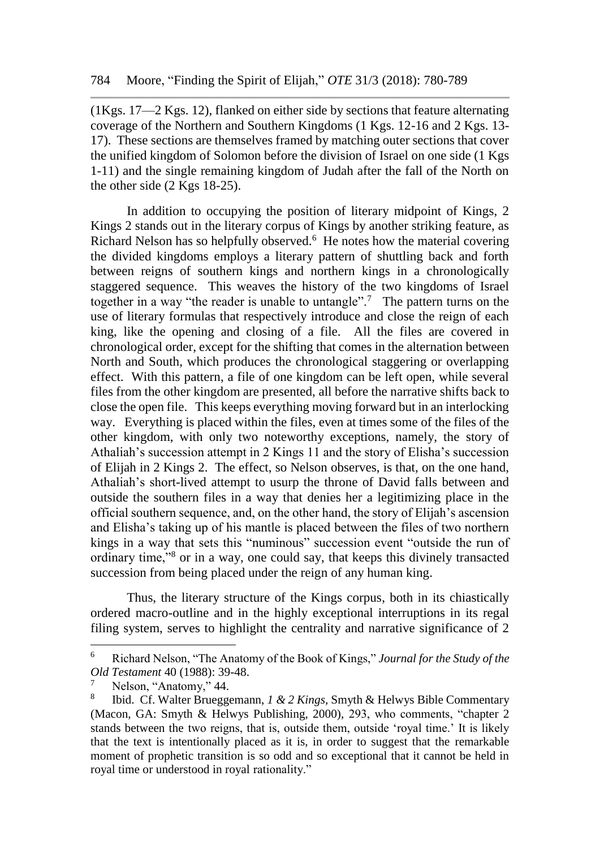(1Kgs. 17—2 Kgs. 12), flanked on either side by sections that feature alternating coverage of the Northern and Southern Kingdoms (1 Kgs. 12-16 and 2 Kgs. 13- 17). These sections are themselves framed by matching outer sections that cover the unified kingdom of Solomon before the division of Israel on one side (1 Kgs 1-11) and the single remaining kingdom of Judah after the fall of the North on the other side (2 Kgs 18-25).

In addition to occupying the position of literary midpoint of Kings, 2 Kings 2 stands out in the literary corpus of Kings by another striking feature, as Richard Nelson has so helpfully observed.<sup>6</sup> He notes how the material covering the divided kingdoms employs a literary pattern of shuttling back and forth between reigns of southern kings and northern kings in a chronologically staggered sequence. This weaves the history of the two kingdoms of Israel together in a way "the reader is unable to untangle".<sup>7</sup> The pattern turns on the use of literary formulas that respectively introduce and close the reign of each king, like the opening and closing of a file. All the files are covered in chronological order, except for the shifting that comes in the alternation between North and South, which produces the chronological staggering or overlapping effect. With this pattern, a file of one kingdom can be left open, while several files from the other kingdom are presented, all before the narrative shifts back to close the open file. This keeps everything moving forward but in an interlocking way. Everything is placed within the files, even at times some of the files of the other kingdom, with only two noteworthy exceptions, namely, the story of Athaliah's succession attempt in 2 Kings 11 and the story of Elisha's succession of Elijah in 2 Kings 2. The effect, so Nelson observes, is that, on the one hand, Athaliah's short-lived attempt to usurp the throne of David falls between and outside the southern files in a way that denies her a legitimizing place in the official southern sequence, and, on the other hand, the story of Elijah's ascension and Elisha's taking up of his mantle is placed between the files of two northern kings in a way that sets this "numinous" succession event "outside the run of ordinary time,"<sup>8</sup> or in a way, one could say, that keeps this divinely transacted succession from being placed under the reign of any human king.

Thus, the literary structure of the Kings corpus, both in its chiastically ordered macro-outline and in the highly exceptional interruptions in its regal filing system, serves to highlight the centrality and narrative significance of 2

 $\overline{a}$ 

<sup>6</sup> Richard Nelson, "The Anatomy of the Book of Kings," *Journal for the Study of the Old Testament* 40 (1988): 39-48.

Nelson, "Anatomy," 44.

<sup>8</sup> Ibid. Cf. Walter Brueggemann, *1 & 2 Kings,* Smyth & Helwys Bible Commentary (Macon, GA: Smyth & Helwys Publishing, 2000), 293, who comments, "chapter 2 stands between the two reigns, that is, outside them, outside 'royal time.' It is likely that the text is intentionally placed as it is, in order to suggest that the remarkable moment of prophetic transition is so odd and so exceptional that it cannot be held in royal time or understood in royal rationality."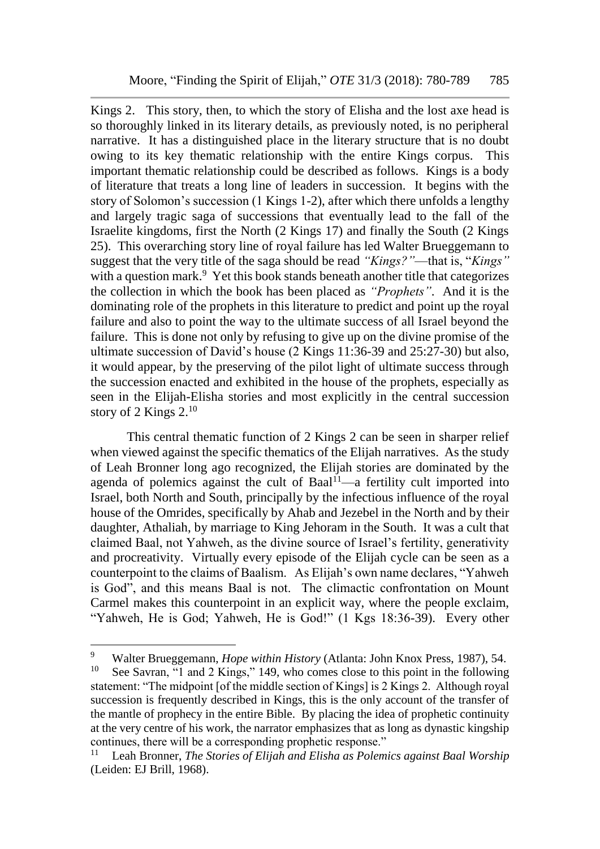Kings 2. This story, then, to which the story of Elisha and the lost axe head is so thoroughly linked in its literary details, as previously noted, is no peripheral narrative. It has a distinguished place in the literary structure that is no doubt owing to its key thematic relationship with the entire Kings corpus. This important thematic relationship could be described as follows. Kings is a body of literature that treats a long line of leaders in succession. It begins with the story of Solomon's succession (1 Kings 1-2), after which there unfolds a lengthy and largely tragic saga of successions that eventually lead to the fall of the Israelite kingdoms, first the North (2 Kings 17) and finally the South (2 Kings 25). This overarching story line of royal failure has led Walter Brueggemann to suggest that the very title of the saga should be read *"Kings?"*—that is, "*Kings"* with a question mark.<sup>9</sup> Yet this book stands beneath another title that categorizes the collection in which the book has been placed as *"Prophets"*. And it is the dominating role of the prophets in this literature to predict and point up the royal failure and also to point the way to the ultimate success of all Israel beyond the failure. This is done not only by refusing to give up on the divine promise of the ultimate succession of David's house (2 Kings 11:36-39 and 25:27-30) but also, it would appear, by the preserving of the pilot light of ultimate success through the succession enacted and exhibited in the house of the prophets, especially as seen in the Elijah-Elisha stories and most explicitly in the central succession story of 2 Kings 2.<sup>10</sup>

This central thematic function of 2 Kings 2 can be seen in sharper relief when viewed against the specific thematics of the Elijah narratives. As the study of Leah Bronner long ago recognized, the Elijah stories are dominated by the agenda of polemics against the cult of  $Baal<sup>11</sup>$ —a fertility cult imported into Israel, both North and South, principally by the infectious influence of the royal house of the Omrides, specifically by Ahab and Jezebel in the North and by their daughter, Athaliah, by marriage to King Jehoram in the South. It was a cult that claimed Baal, not Yahweh, as the divine source of Israel's fertility, generativity and procreativity. Virtually every episode of the Elijah cycle can be seen as a counterpoint to the claims of Baalism. As Elijah's own name declares, "Yahweh is God", and this means Baal is not. The climactic confrontation on Mount Carmel makes this counterpoint in an explicit way, where the people exclaim, "Yahweh, He is God; Yahweh, He is God!" (1 Kgs 18:36-39). Every other

 $\overline{a}$ 

<sup>&</sup>lt;sup>9</sup> Walter Brueggemann, *Hope within History* (Atlanta: John Knox Press, 1987), 54.

See Savran, "1 and 2 Kings," 149, who comes close to this point in the following statement: "The midpoint [of the middle section of Kings] is 2 Kings 2. Although royal succession is frequently described in Kings, this is the only account of the transfer of the mantle of prophecy in the entire Bible. By placing the idea of prophetic continuity at the very centre of his work, the narrator emphasizes that as long as dynastic kingship continues, there will be a corresponding prophetic response."

<sup>11</sup> Leah Bronner, *The Stories of Elijah and Elisha as Polemics against Baal Worship* (Leiden: EJ Brill, 1968).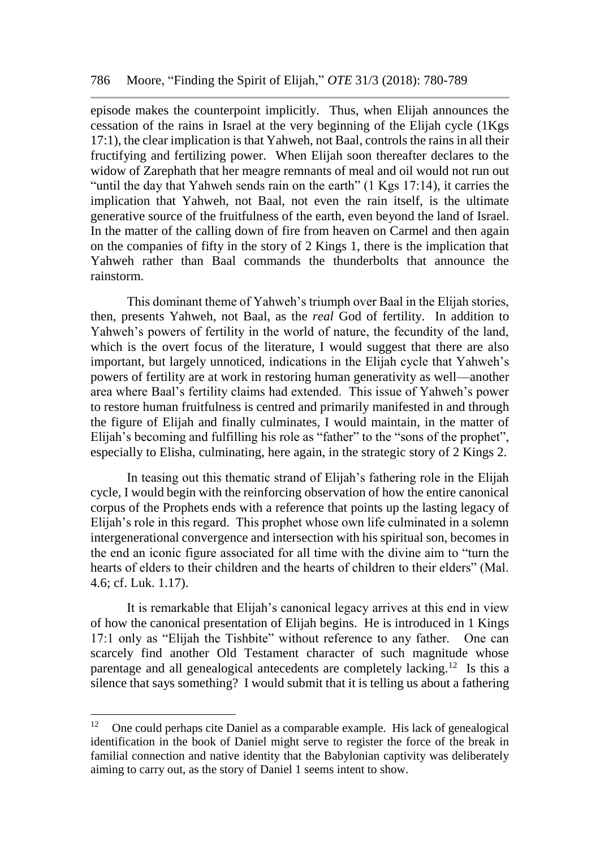episode makes the counterpoint implicitly. Thus, when Elijah announces the cessation of the rains in Israel at the very beginning of the Elijah cycle (1Kgs 17:1), the clear implication is that Yahweh, not Baal, controls the rains in all their fructifying and fertilizing power. When Elijah soon thereafter declares to the widow of Zarephath that her meagre remnants of meal and oil would not run out "until the day that Yahweh sends rain on the earth" (1 Kgs 17:14), it carries the implication that Yahweh, not Baal, not even the rain itself, is the ultimate generative source of the fruitfulness of the earth, even beyond the land of Israel. In the matter of the calling down of fire from heaven on Carmel and then again on the companies of fifty in the story of 2 Kings 1, there is the implication that Yahweh rather than Baal commands the thunderbolts that announce the rainstorm.

This dominant theme of Yahweh's triumph over Baal in the Elijah stories, then, presents Yahweh, not Baal, as the *real* God of fertility. In addition to Yahweh's powers of fertility in the world of nature, the fecundity of the land, which is the overt focus of the literature, I would suggest that there are also important, but largely unnoticed, indications in the Elijah cycle that Yahweh's powers of fertility are at work in restoring human generativity as well—another area where Baal's fertility claims had extended. This issue of Yahweh's power to restore human fruitfulness is centred and primarily manifested in and through the figure of Elijah and finally culminates, I would maintain, in the matter of Elijah's becoming and fulfilling his role as "father" to the "sons of the prophet", especially to Elisha, culminating, here again, in the strategic story of 2 Kings 2.

In teasing out this thematic strand of Elijah's fathering role in the Elijah cycle, I would begin with the reinforcing observation of how the entire canonical corpus of the Prophets ends with a reference that points up the lasting legacy of Elijah's role in this regard. This prophet whose own life culminated in a solemn intergenerational convergence and intersection with his spiritual son, becomes in the end an iconic figure associated for all time with the divine aim to "turn the hearts of elders to their children and the hearts of children to their elders" (Mal. 4.6; cf. Luk. 1.17).

It is remarkable that Elijah's canonical legacy arrives at this end in view of how the canonical presentation of Elijah begins. He is introduced in 1 Kings 17:1 only as "Elijah the Tishbite" without reference to any father. One can scarcely find another Old Testament character of such magnitude whose parentage and all genealogical antecedents are completely lacking.<sup>12</sup> Is this a silence that says something? I would submit that it is telling us about a fathering

 $\overline{a}$ 

<sup>&</sup>lt;sup>12</sup> One could perhaps cite Daniel as a comparable example. His lack of genealogical identification in the book of Daniel might serve to register the force of the break in familial connection and native identity that the Babylonian captivity was deliberately aiming to carry out, as the story of Daniel 1 seems intent to show.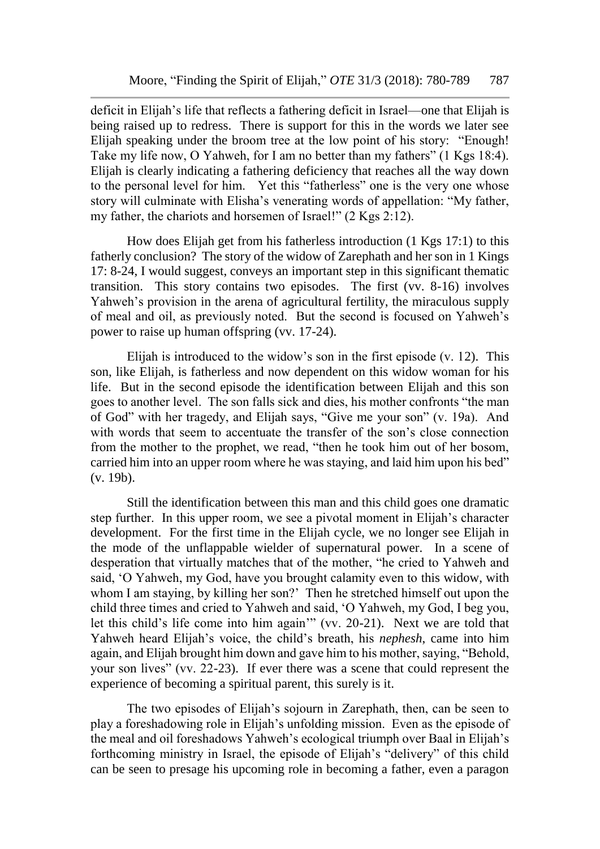deficit in Elijah's life that reflects a fathering deficit in Israel—one that Elijah is being raised up to redress. There is support for this in the words we later see Elijah speaking under the broom tree at the low point of his story: "Enough! Take my life now, O Yahweh, for I am no better than my fathers" (1 Kgs 18:4). Elijah is clearly indicating a fathering deficiency that reaches all the way down to the personal level for him. Yet this "fatherless" one is the very one whose story will culminate with Elisha's venerating words of appellation: "My father, my father, the chariots and horsemen of Israel!"  $(2 \text{Kgs } 2:12)$ .

How does Elijah get from his fatherless introduction (1 Kgs 17:1) to this fatherly conclusion? The story of the widow of Zarephath and her son in 1 Kings 17: 8-24, I would suggest, conveys an important step in this significant thematic transition. This story contains two episodes. The first (vv. 8-16) involves Yahweh's provision in the arena of agricultural fertility, the miraculous supply of meal and oil, as previously noted. But the second is focused on Yahweh's power to raise up human offspring (vv. 17-24).

Elijah is introduced to the widow's son in the first episode (v. 12). This son, like Elijah, is fatherless and now dependent on this widow woman for his life. But in the second episode the identification between Elijah and this son goes to another level. The son falls sick and dies, his mother confronts "the man of God" with her tragedy, and Elijah says, "Give me your son" (v. 19a). And with words that seem to accentuate the transfer of the son's close connection from the mother to the prophet, we read, "then he took him out of her bosom, carried him into an upper room where he was staying, and laid him upon his bed" (v. 19b).

Still the identification between this man and this child goes one dramatic step further. In this upper room, we see a pivotal moment in Elijah's character development. For the first time in the Elijah cycle, we no longer see Elijah in the mode of the unflappable wielder of supernatural power. In a scene of desperation that virtually matches that of the mother, "he cried to Yahweh and said, 'O Yahweh, my God, have you brought calamity even to this widow, with whom I am staying, by killing her son?' Then he stretched himself out upon the child three times and cried to Yahweh and said, 'O Yahweh, my God, I beg you, let this child's life come into him again'" (vv. 20-21). Next we are told that Yahweh heard Elijah's voice, the child's breath, his *nephesh*, came into him again, and Elijah brought him down and gave him to his mother, saying, "Behold, your son lives" (vv. 22-23). If ever there was a scene that could represent the experience of becoming a spiritual parent, this surely is it.

The two episodes of Elijah's sojourn in Zarephath, then, can be seen to play a foreshadowing role in Elijah's unfolding mission. Even as the episode of the meal and oil foreshadows Yahweh's ecological triumph over Baal in Elijah's forthcoming ministry in Israel, the episode of Elijah's "delivery" of this child can be seen to presage his upcoming role in becoming a father, even a paragon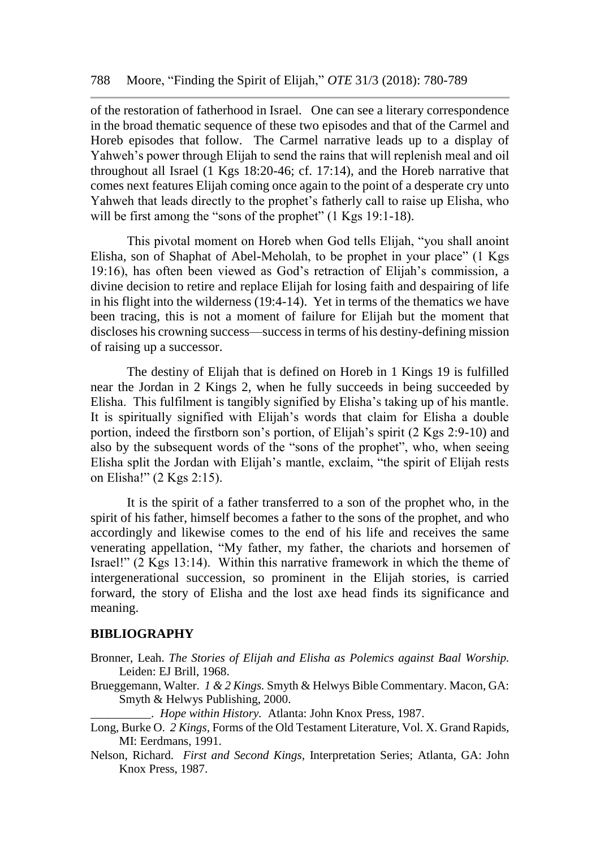of the restoration of fatherhood in Israel. One can see a literary correspondence in the broad thematic sequence of these two episodes and that of the Carmel and Horeb episodes that follow. The Carmel narrative leads up to a display of Yahweh's power through Elijah to send the rains that will replenish meal and oil throughout all Israel (1 Kgs 18:20-46; cf. 17:14), and the Horeb narrative that comes next features Elijah coming once again to the point of a desperate cry unto Yahweh that leads directly to the prophet's fatherly call to raise up Elisha, who will be first among the "sons of the prophet" (1 Kgs 19:1-18).

This pivotal moment on Horeb when God tells Elijah, "you shall anoint Elisha, son of Shaphat of Abel-Meholah, to be prophet in your place" (1 Kgs 19:16), has often been viewed as God's retraction of Elijah's commission, a divine decision to retire and replace Elijah for losing faith and despairing of life in his flight into the wilderness (19:4-14). Yet in terms of the thematics we have been tracing, this is not a moment of failure for Elijah but the moment that discloses his crowning success—success in terms of his destiny-defining mission of raising up a successor.

The destiny of Elijah that is defined on Horeb in 1 Kings 19 is fulfilled near the Jordan in 2 Kings 2, when he fully succeeds in being succeeded by Elisha. This fulfilment is tangibly signified by Elisha's taking up of his mantle. It is spiritually signified with Elijah's words that claim for Elisha a double portion, indeed the firstborn son's portion, of Elijah's spirit (2 Kgs 2:9-10) and also by the subsequent words of the "sons of the prophet", who, when seeing Elisha split the Jordan with Elijah's mantle, exclaim, "the spirit of Elijah rests on Elisha!" (2 Kgs 2:15).

It is the spirit of a father transferred to a son of the prophet who, in the spirit of his father, himself becomes a father to the sons of the prophet, and who accordingly and likewise comes to the end of his life and receives the same venerating appellation, "My father, my father, the chariots and horsemen of Israel!" (2 Kgs 13:14). Within this narrative framework in which the theme of intergenerational succession, so prominent in the Elijah stories, is carried forward, the story of Elisha and the lost axe head finds its significance and meaning.

## **BIBLIOGRAPHY**

- Bronner, Leah. *The Stories of Elijah and Elisha as Polemics against Baal Worship.*  Leiden: EJ Brill, 1968.
- Brueggemann, Walter. *1 & 2 Kings.* Smyth & Helwys Bible Commentary. Macon, GA: Smyth & Helwys Publishing, 2000.

\_\_\_\_\_\_\_\_\_\_. *Hope within History.* Atlanta: John Knox Press, 1987.

- Long, Burke O. *2 Kings,* Forms of the Old Testament Literature, Vol. X. Grand Rapids, MI: Eerdmans, 1991.
- Nelson, Richard. *First and Second Kings,* Interpretation Series; Atlanta, GA: John Knox Press, 1987.